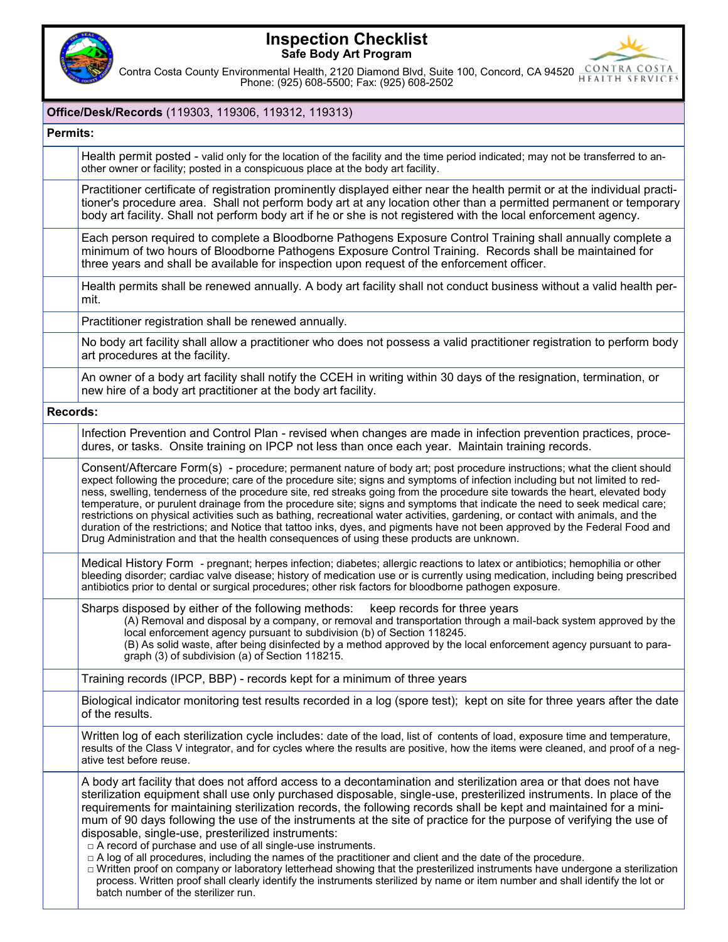

## **Inspection Checklist Safe Body Art Program**



Contra Costa County Environmental Health, 2120 Diamond Blvd, Suite 100, Concord, CA 94520 **CONTRA COSTA** Phone: (925) 608-5500; Fax: (925) 608-2502

## **Office/Desk/Records** (119303, 119306, 119312, 119313) **Permits:** Health permit posted - valid only for the location of the facility and the time period indicated; may not be transferred to another owner or facility; posted in a conspicuous place at the body art facility. Practitioner certificate of registration prominently displayed either near the health permit or at the individual practitioner's procedure area. Shall not perform body art at any location other than a permitted permanent or temporary body art facility. Shall not perform body art if he or she is not registered with the local enforcement agency. Each person required to complete a Bloodborne Pathogens Exposure Control Training shall annually complete a minimum of two hours of Bloodborne Pathogens Exposure Control Training. Records shall be maintained for three years and shall be available for inspection upon request of the enforcement officer. Health permits shall be renewed annually. A body art facility shall not conduct business without a valid health permit. Practitioner registration shall be renewed annually. No body art facility shall allow a practitioner who does not possess a valid practitioner registration to perform body art procedures at the facility. An owner of a body art facility shall notify the CCEH in writing within 30 days of the resignation, termination, or new hire of a body art practitioner at the body art facility. **Records:** Infection Prevention and Control Plan - revised when changes are made in infection prevention practices, procedures, or tasks. Onsite training on IPCP not less than once each year. Maintain training records. Consent/Aftercare Form(s) - procedure; permanent nature of body art; post procedure instructions; what the client should expect following the procedure; care of the procedure site; signs and symptoms of infection including but not limited to redness, swelling, tenderness of the procedure site, red streaks going from the procedure site towards the heart, elevated body temperature, or purulent drainage from the procedure site; signs and symptoms that indicate the need to seek medical care; restrictions on physical activities such as bathing, recreational water activities, gardening, or contact with animals, and the duration of the restrictions; and Notice that tattoo inks, dyes, and pigments have not been approved by the Federal Food and Drug Administration and that the health consequences of using these products are unknown. Medical History Form - pregnant; herpes infection; diabetes; allergic reactions to latex or antibiotics; hemophilia or other bleeding disorder; cardiac valve disease; history of medication use or is currently using medication, including being prescribed antibiotics prior to dental or surgical procedures; other risk factors for bloodborne pathogen exposure. Sharps disposed by either of the following methods: keep records for three years (A) Removal and disposal by a company, or removal and transportation through a mail-back system approved by the local enforcement agency pursuant to subdivision (b) of Section 118245. (B) As solid waste, after being disinfected by a method approved by the local enforcement agency pursuant to paragraph (3) of subdivision (a) of Section 118215. Training records (IPCP, BBP) - records kept for a minimum of three years Biological indicator monitoring test results recorded in a log (spore test); kept on site for three years after the date of the results. Written log of each sterilization cycle includes: date of the load, list of contents of load, exposure time and temperature, results of the Class V integrator, and for cycles where the results are positive, how the items were cleaned, and proof of a negative test before reuse. A body art facility that does not afford access to a decontamination and sterilization area or that does not have sterilization equipment shall use only purchased disposable, single-use, presterilized instruments. In place of the requirements for maintaining sterilization records, the following records shall be kept and maintained for a minimum of 90 days following the use of the instruments at the site of practice for the purpose of verifying the use of disposable, single-use, presterilized instruments:  $\Box$  A record of purchase and use of all single-use instruments.  $\Box$  A log of all procedures, including the names of the practitioner and client and the date of the procedure. □ Written proof on company or laboratory letterhead showing that the presterilized instruments have undergone a sterilization process. Written proof shall clearly identify the instruments sterilized by name or item number and shall identify the lot or batch number of the sterilizer run.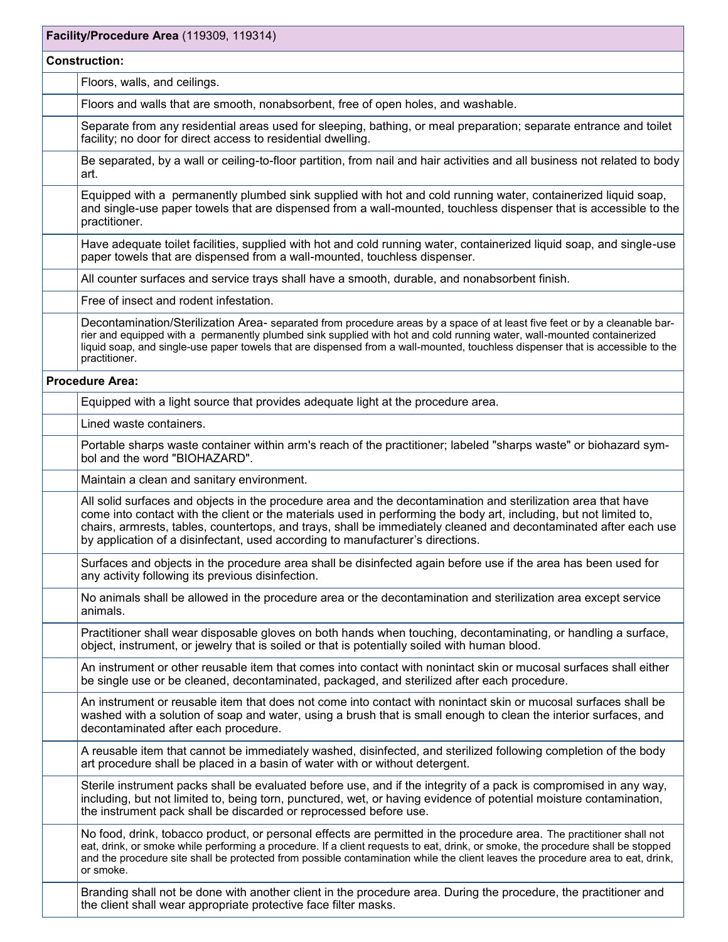| Facility/Procedure Area (119309, 119314) |                                                                                                                                                                                                                                                                                                                                                                                                                                           |  |
|------------------------------------------|-------------------------------------------------------------------------------------------------------------------------------------------------------------------------------------------------------------------------------------------------------------------------------------------------------------------------------------------------------------------------------------------------------------------------------------------|--|
| <b>Construction:</b>                     |                                                                                                                                                                                                                                                                                                                                                                                                                                           |  |
|                                          | Floors, walls, and ceilings.                                                                                                                                                                                                                                                                                                                                                                                                              |  |
|                                          | Floors and walls that are smooth, nonabsorbent, free of open holes, and washable.                                                                                                                                                                                                                                                                                                                                                         |  |
|                                          | Separate from any residential areas used for sleeping, bathing, or meal preparation; separate entrance and toilet<br>facility; no door for direct access to residential dwelling.                                                                                                                                                                                                                                                         |  |
|                                          | Be separated, by a wall or ceiling-to-floor partition, from nail and hair activities and all business not related to body<br>art.                                                                                                                                                                                                                                                                                                         |  |
|                                          | Equipped with a permanently plumbed sink supplied with hot and cold running water, containerized liquid soap,<br>and single-use paper towels that are dispensed from a wall-mounted, touchless dispenser that is accessible to the<br>practitioner.                                                                                                                                                                                       |  |
|                                          | Have adequate toilet facilities, supplied with hot and cold running water, containerized liquid soap, and single-use<br>paper towels that are dispensed from a wall-mounted, touchless dispenser.                                                                                                                                                                                                                                         |  |
|                                          | All counter surfaces and service trays shall have a smooth, durable, and nonabsorbent finish.                                                                                                                                                                                                                                                                                                                                             |  |
|                                          | Free of insect and rodent infestation.                                                                                                                                                                                                                                                                                                                                                                                                    |  |
|                                          | Decontamination/Sterilization Area- separated from procedure areas by a space of at least five feet or by a cleanable bar-<br>rier and equipped with a permanently plumbed sink supplied with hot and cold running water, wall-mounted containerized<br>liquid soap, and single-use paper towels that are dispensed from a wall-mounted, touchless dispenser that is accessible to the<br>practitioner.                                   |  |
| <b>Procedure Area:</b>                   |                                                                                                                                                                                                                                                                                                                                                                                                                                           |  |
|                                          | Equipped with a light source that provides adequate light at the procedure area.                                                                                                                                                                                                                                                                                                                                                          |  |
|                                          | Lined waste containers.                                                                                                                                                                                                                                                                                                                                                                                                                   |  |
|                                          | Portable sharps waste container within arm's reach of the practitioner; labeled "sharps waste" or biohazard sym-<br>bol and the word "BIOHAZARD".                                                                                                                                                                                                                                                                                         |  |
|                                          | Maintain a clean and sanitary environment.                                                                                                                                                                                                                                                                                                                                                                                                |  |
|                                          | All solid surfaces and objects in the procedure area and the decontamination and sterilization area that have<br>come into contact with the client or the materials used in performing the body art, including, but not limited to,<br>chairs, armrests, tables, countertops, and trays, shall be immediately cleaned and decontaminated after each use<br>by application of a disinfectant, used according to manufacturer's directions. |  |
|                                          | Surfaces and objects in the procedure area shall be disinfected again before use if the area has been used for<br>any activity following its previous disinfection.                                                                                                                                                                                                                                                                       |  |
|                                          | No animals shall be allowed in the procedure area or the decontamination and sterilization area except service<br>animals.                                                                                                                                                                                                                                                                                                                |  |
|                                          | Practitioner shall wear disposable gloves on both hands when touching, decontaminating, or handling a surface,<br>object, instrument, or jewelry that is soiled or that is potentially soiled with human blood.                                                                                                                                                                                                                           |  |
|                                          | An instrument or other reusable item that comes into contact with nonintact skin or mucosal surfaces shall either<br>be single use or be cleaned, decontaminated, packaged, and sterilized after each procedure.                                                                                                                                                                                                                          |  |
|                                          | An instrument or reusable item that does not come into contact with nonintact skin or mucosal surfaces shall be<br>washed with a solution of soap and water, using a brush that is small enough to clean the interior surfaces, and<br>decontaminated after each procedure.                                                                                                                                                               |  |
|                                          | A reusable item that cannot be immediately washed, disinfected, and sterilized following completion of the body<br>art procedure shall be placed in a basin of water with or without detergent.                                                                                                                                                                                                                                           |  |
|                                          | Sterile instrument packs shall be evaluated before use, and if the integrity of a pack is compromised in any way,<br>including, but not limited to, being torn, punctured, wet, or having evidence of potential moisture contamination,<br>the instrument pack shall be discarded or reprocessed before use.                                                                                                                              |  |
|                                          | No food, drink, tobacco product, or personal effects are permitted in the procedure area. The practitioner shall not<br>eat, drink, or smoke while performing a procedure. If a client requests to eat, drink, or smoke, the procedure shall be stopped<br>and the procedure site shall be protected from possible contamination while the client leaves the procedure area to eat, drink,<br>or smoke.                                   |  |
|                                          | Branding shall not be done with another client in the procedure area. During the procedure, the practitioner and<br>the client shall wear appropriate protective face filter masks.                                                                                                                                                                                                                                                       |  |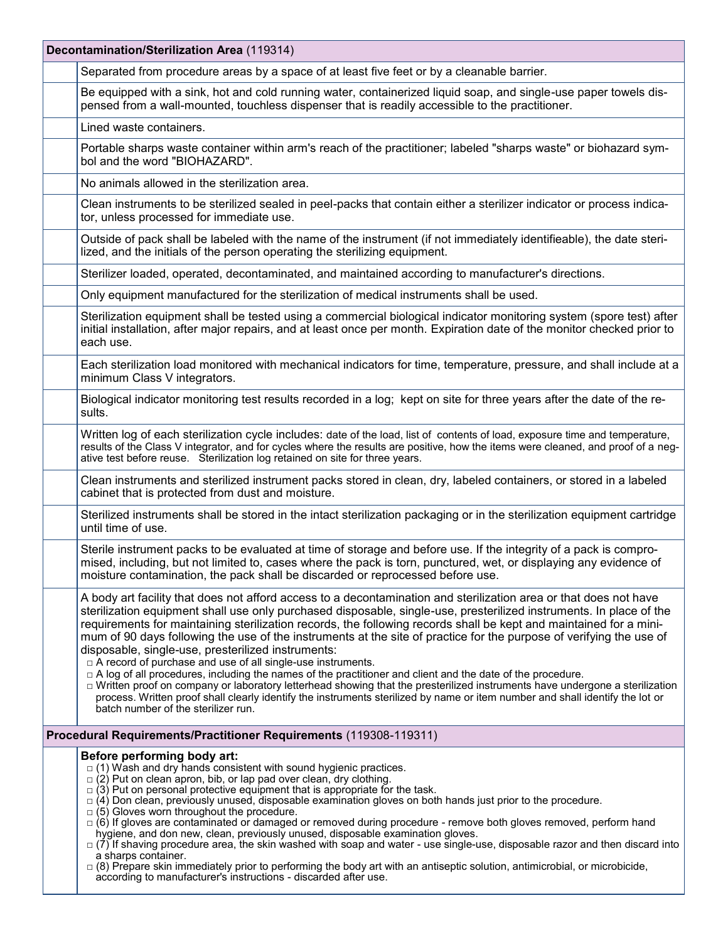| Decontamination/Sterilization Area (119314) |                                                                                                                                                                                                                                                                                                                                                                                                                                                                                                                                                                                                                                                                                                                                                                                                                                                                                                                                                                                                                                       |  |
|---------------------------------------------|---------------------------------------------------------------------------------------------------------------------------------------------------------------------------------------------------------------------------------------------------------------------------------------------------------------------------------------------------------------------------------------------------------------------------------------------------------------------------------------------------------------------------------------------------------------------------------------------------------------------------------------------------------------------------------------------------------------------------------------------------------------------------------------------------------------------------------------------------------------------------------------------------------------------------------------------------------------------------------------------------------------------------------------|--|
|                                             | Separated from procedure areas by a space of at least five feet or by a cleanable barrier.                                                                                                                                                                                                                                                                                                                                                                                                                                                                                                                                                                                                                                                                                                                                                                                                                                                                                                                                            |  |
|                                             | Be equipped with a sink, hot and cold running water, containerized liquid soap, and single-use paper towels dis-<br>pensed from a wall-mounted, touchless dispenser that is readily accessible to the practitioner.                                                                                                                                                                                                                                                                                                                                                                                                                                                                                                                                                                                                                                                                                                                                                                                                                   |  |
|                                             | Lined waste containers.                                                                                                                                                                                                                                                                                                                                                                                                                                                                                                                                                                                                                                                                                                                                                                                                                                                                                                                                                                                                               |  |
|                                             | Portable sharps waste container within arm's reach of the practitioner; labeled "sharps waste" or biohazard sym-<br>bol and the word "BIOHAZARD".                                                                                                                                                                                                                                                                                                                                                                                                                                                                                                                                                                                                                                                                                                                                                                                                                                                                                     |  |
|                                             | No animals allowed in the sterilization area.                                                                                                                                                                                                                                                                                                                                                                                                                                                                                                                                                                                                                                                                                                                                                                                                                                                                                                                                                                                         |  |
|                                             | Clean instruments to be sterilized sealed in peel-packs that contain either a sterilizer indicator or process indica-<br>tor, unless processed for immediate use.                                                                                                                                                                                                                                                                                                                                                                                                                                                                                                                                                                                                                                                                                                                                                                                                                                                                     |  |
|                                             | Outside of pack shall be labeled with the name of the instrument (if not immediately identifieable), the date steri-<br>lized, and the initials of the person operating the sterilizing equipment.                                                                                                                                                                                                                                                                                                                                                                                                                                                                                                                                                                                                                                                                                                                                                                                                                                    |  |
|                                             | Sterilizer loaded, operated, decontaminated, and maintained according to manufacturer's directions.                                                                                                                                                                                                                                                                                                                                                                                                                                                                                                                                                                                                                                                                                                                                                                                                                                                                                                                                   |  |
|                                             | Only equipment manufactured for the sterilization of medical instruments shall be used.                                                                                                                                                                                                                                                                                                                                                                                                                                                                                                                                                                                                                                                                                                                                                                                                                                                                                                                                               |  |
|                                             | Sterilization equipment shall be tested using a commercial biological indicator monitoring system (spore test) after<br>initial installation, after major repairs, and at least once per month. Expiration date of the monitor checked prior to<br>each use.                                                                                                                                                                                                                                                                                                                                                                                                                                                                                                                                                                                                                                                                                                                                                                          |  |
|                                             | Each sterilization load monitored with mechanical indicators for time, temperature, pressure, and shall include at a<br>minimum Class V integrators.                                                                                                                                                                                                                                                                                                                                                                                                                                                                                                                                                                                                                                                                                                                                                                                                                                                                                  |  |
|                                             | Biological indicator monitoring test results recorded in a log; kept on site for three years after the date of the re-<br>sults.                                                                                                                                                                                                                                                                                                                                                                                                                                                                                                                                                                                                                                                                                                                                                                                                                                                                                                      |  |
|                                             | Written log of each sterilization cycle includes: date of the load, list of contents of load, exposure time and temperature,<br>results of the Class V integrator, and for cycles where the results are positive, how the items were cleaned, and proof of a neg-<br>ative test before reuse. Sterilization log retained on site for three years.                                                                                                                                                                                                                                                                                                                                                                                                                                                                                                                                                                                                                                                                                     |  |
|                                             | Clean instruments and sterilized instrument packs stored in clean, dry, labeled containers, or stored in a labeled<br>cabinet that is protected from dust and moisture.                                                                                                                                                                                                                                                                                                                                                                                                                                                                                                                                                                                                                                                                                                                                                                                                                                                               |  |
|                                             | Sterilized instruments shall be stored in the intact sterilization packaging or in the sterilization equipment cartridge<br>until time of use.                                                                                                                                                                                                                                                                                                                                                                                                                                                                                                                                                                                                                                                                                                                                                                                                                                                                                        |  |
|                                             | Sterile instrument packs to be evaluated at time of storage and before use. If the integrity of a pack is compro-<br>mised, including, but not limited to, cases where the pack is torn, punctured, wet, or displaying any evidence of<br>moisture contamination, the pack shall be discarded or reprocessed before use.                                                                                                                                                                                                                                                                                                                                                                                                                                                                                                                                                                                                                                                                                                              |  |
|                                             | A body art facility that does not afford access to a decontamination and sterilization area or that does not have<br>sterilization equipment shall use only purchased disposable, single-use, presterilized instruments. In place of the<br>requirements for maintaining sterilization records, the following records shall be kept and maintained for a mini-<br>mum of 90 days following the use of the instruments at the site of practice for the purpose of verifying the use of<br>disposable, single-use, presterilized instruments:<br>□ A record of purchase and use of all single-use instruments.<br>□ A log of all procedures, including the names of the practitioner and client and the date of the procedure.<br>□ Written proof on company or laboratory letterhead showing that the presterilized instruments have undergone a sterilization<br>process. Written proof shall clearly identify the instruments sterilized by name or item number and shall identify the lot or<br>batch number of the sterilizer run. |  |
|                                             | Procedural Requirements/Practitioner Requirements (119308-119311)                                                                                                                                                                                                                                                                                                                                                                                                                                                                                                                                                                                                                                                                                                                                                                                                                                                                                                                                                                     |  |
|                                             | Before performing body art:<br>$\Box$ (1) Wash and dry hands consistent with sound hygienic practices.<br>$\Box$ (2) Put on clean apron, bib, or lap pad over clean, dry clothing.<br>$\Box$ (3) Put on personal protective equipment that is appropriate for the task.<br>$\Box$ (4) Don clean, previously unused, disposable examination gloves on both hands just prior to the procedure.<br>$\Box$ (5) Gloves worn throughout the procedure.<br>$\Box$ (6) If gloves are contaminated or damaged or removed during procedure - remove both gloves removed, perform hand<br>hygiene, and don new, clean, previously unused, disposable examination gloves.<br>$\Box$ (7) If shaving procedure area, the skin washed with soap and water - use single-use, disposable razor and then discard into<br>a sharps container.<br>$\Box$ (8) Prepare skin immediately prior to performing the body art with an antiseptic solution, antimicrobial, or microbicide,<br>according to manufacturer's instructions - discarded after use.     |  |